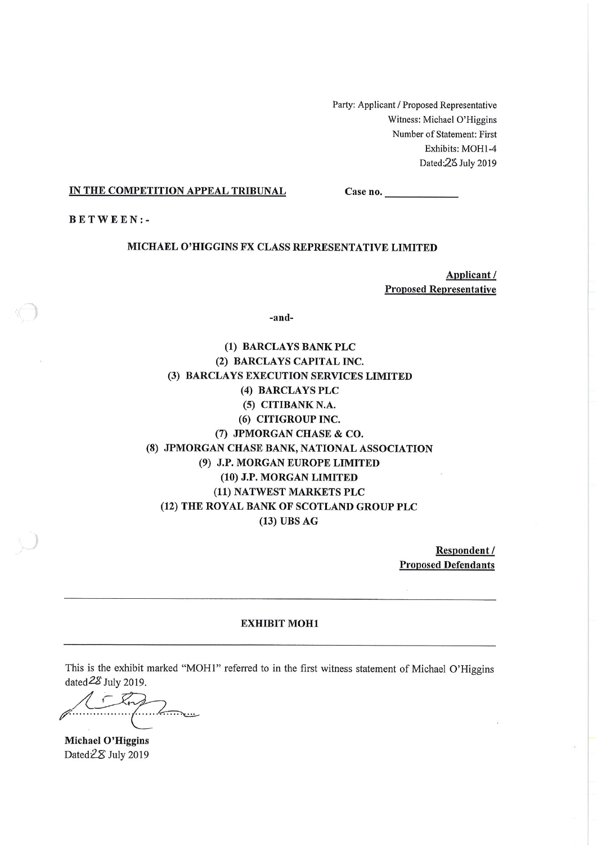Party: Applicant / Proposed Representative Witness: Michael O'Higgins Number of Statement: First Exhibits: MOH1-4 Dated: 28 July 2019

#### IN THE COMPETITION APPEAL TRIBUNAL

**BETWEEN:-**

### MICHAEL O'HIGGINS FX CLASS REPRESENTATIVE LIMITED

Applicant / **Proposed Representative** 

-and-

(1) BARCLAYS BANK PLC (2) BARCLAYS CAPITAL INC. (3) BARCLAYS EXECUTION SERVICES LIMITED (4) BARCLAYS PLC (5) CITIBANK N.A. (6) CITIGROUP INC. (7) JPMORGAN CHASE & CO. (8) JPMORGAN CHASE BANK, NATIONAL ASSOCIATION (9) J.P. MORGAN EUROPE LIMITED (10) J.P. MORGAN LIMITED (11) NATWEST MARKETS PLC (12) THE ROYAL BANK OF SCOTLAND GROUP PLC  $(13)$  UBS AG

> Respondent / **Proposed Defendants**

#### **EXHIBIT MOH1**

This is the exhibit marked "MOH1" referred to in the first witness statement of Michael O'Higgins dated<sup>28</sup> July 2019.

**Michael O'Higgins** Dated 28 July 2019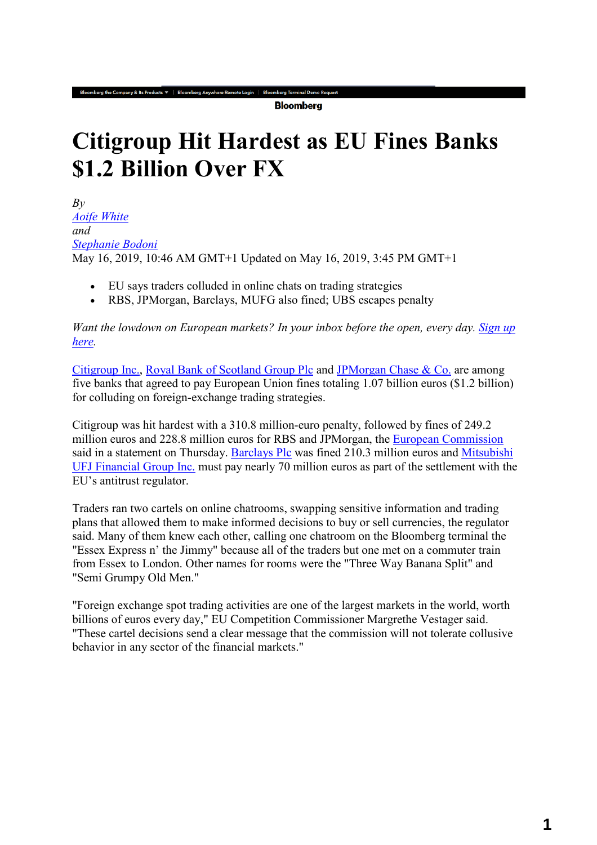**Bloomberg** 

# **Citigroup Hit Hardest as EU Fines Banks \$1.2 Billion Over FX**

 $Bv$ *Aoife White and Stephanie Bodoni*  May 16, 2019, 10:46 AM GMT+1 Updated on May 16, 2019, 3:45 PM GMT+1

- EU says traders colluded in online chats on trading strategies
- RBS, JPMorgan, Barclays, MUFG also fined; UBS escapes penalty

*Want the lowdown on European markets? In your inbox before the open, every day. Sign up here.*

Citigroup Inc., Royal Bank of Scotland Group Plc and JPMorgan Chase & Co. are among five banks that agreed to pay European Union fines totaling 1.07 billion euros (\$1.2 billion) for colluding on foreign-exchange trading strategies.

Citigroup was hit hardest with a 310.8 million-euro penalty, followed by fines of 249.2 million euros and 228.8 million euros for RBS and JPMorgan, the European Commission said in a statement on Thursday. Barclays Plc was fined 210.3 million euros and Mitsubishi UFJ Financial Group Inc. must pay nearly 70 million euros as part of the settlement with the EU's antitrust regulator.

Traders ran two cartels on online chatrooms, swapping sensitive information and trading plans that allowed them to make informed decisions to buy or sell currencies, the regulator said. Many of them knew each other, calling one chatroom on the Bloomberg terminal the "Essex Express n' the Jimmy" because all of the traders but one met on a commuter train from Essex to London. Other names for rooms were the "Three Way Banana Split" and "Semi Grumpy Old Men."

"Foreign exchange spot trading activities are one of the largest markets in the world, worth billions of euros every day," EU Competition Commissioner Margrethe Vestager said. "These cartel decisions send a clear message that the commission will not tolerate collusive behavior in any sector of the financial markets."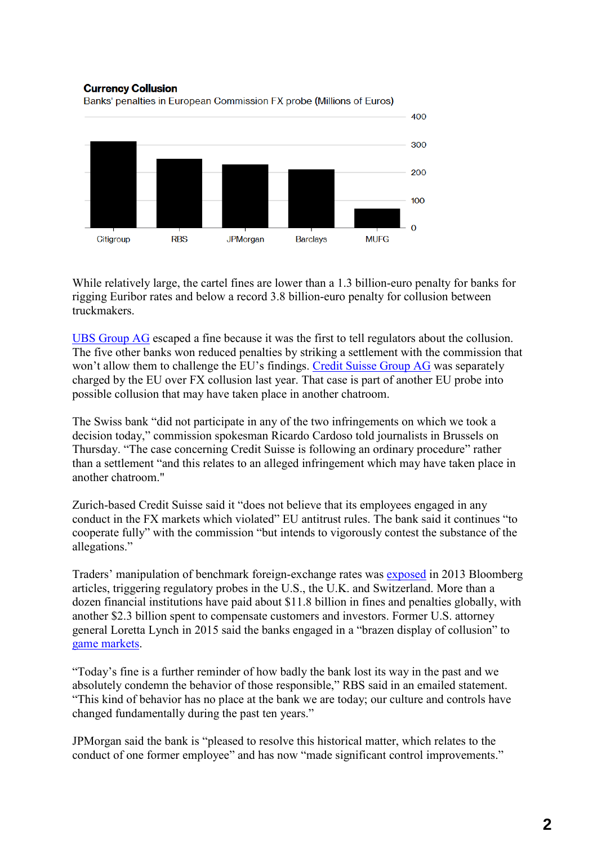#### **Currency Collusion**

Banks' penalties in European Commission FX probe (Millions of Euros)



While relatively large, the cartel fines are lower than a 1.3 billion-euro penalty for banks for rigging Euribor rates and below a record 3.8 billion-euro penalty for collusion between truckmakers.

UBS Group AG escaped a fine because it was the first to tell regulators about the collusion. The five other banks won reduced penalties by striking a settlement with the commission that won't allow them to challenge the EU's findings. Credit Suisse Group AG was separately charged by the EU over FX collusion last year. That case is part of another EU probe into possible collusion that may have taken place in another chatroom.

The Swiss bank "did not participate in any of the two infringements on which we took a decision today," commission spokesman Ricardo Cardoso told journalists in Brussels on Thursday. "The case concerning Credit Suisse is following an ordinary procedure" rather than a settlement "and this relates to an alleged infringement which may have taken place in another chatroom."

Zurich-based Credit Suisse said it "does not believe that its employees engaged in any conduct in the FX markets which violated" EU antitrust rules. The bank said it continues "to cooperate fully" with the commission "but intends to vigorously contest the substance of the allegations."

Traders' manipulation of benchmark foreign-exchange rates was exposed in 2013 Bloomberg articles, triggering regulatory probes in the U.S., the U.K. and Switzerland. More than a dozen financial institutions have paid about \$11.8 billion in fines and penalties globally, with another \$2.3 billion spent to compensate customers and investors. Former U.S. attorney general Loretta Lynch in 2015 said the banks engaged in a "brazen display of collusion" to game markets.

"Today's fine is a further reminder of how badly the bank lost its way in the past and we absolutely condemn the behavior of those responsible," RBS said in an emailed statement. "This kind of behavior has no place at the bank we are today; our culture and controls have changed fundamentally during the past ten years."

JPMorgan said the bank is "pleased to resolve this historical matter, which relates to the conduct of one former employee" and has now "made significant control improvements."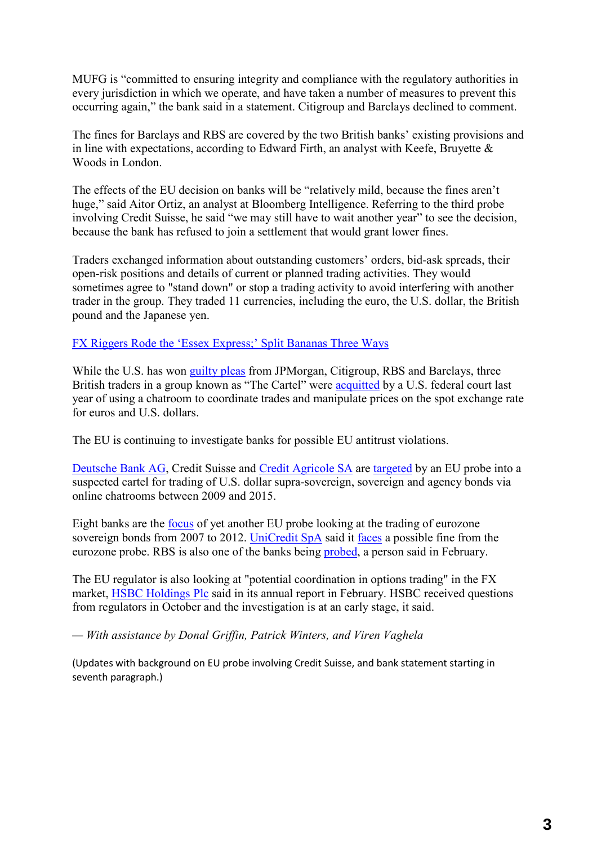MUFG is "committed to ensuring integrity and compliance with the regulatory authorities in every jurisdiction in which we operate, and have taken a number of measures to prevent this occurring again," the bank said in a statement. Citigroup and Barclays declined to comment.

The fines for Barclays and RBS are covered by the two British banks' existing provisions and in line with expectations, according to Edward Firth, an analyst with Keefe, Bruyette & Woods in London.

The effects of the EU decision on banks will be "relatively mild, because the fines aren't huge," said Aitor Ortiz, an analyst at Bloomberg Intelligence. Referring to the third probe involving Credit Suisse, he said "we may still have to wait another year" to see the decision, because the bank has refused to join a settlement that would grant lower fines.

Traders exchanged information about outstanding customers' orders, bid-ask spreads, their open-risk positions and details of current or planned trading activities. They would sometimes agree to "stand down" or stop a trading activity to avoid interfering with another trader in the group. They traded 11 currencies, including the euro, the U.S. dollar, the British pound and the Japanese yen.

## FX Riggers Rode the 'Essex Express;' Split Bananas Three Ways

While the U.S. has won guilty pleas from JPMorgan, Citigroup, RBS and Barclays, three British traders in a group known as "The Cartel" were acquitted by a U.S. federal court last year of using a chatroom to coordinate trades and manipulate prices on the spot exchange rate for euros and U.S. dollars.

The EU is continuing to investigate banks for possible EU antitrust violations.

Deutsche Bank AG, Credit Suisse and Credit Agricole SA are targeted by an EU probe into a suspected cartel for trading of U.S. dollar supra-sovereign, sovereign and agency bonds via online chatrooms between 2009 and 2015.

Eight banks are the focus of yet another EU probe looking at the trading of eurozone sovereign bonds from 2007 to 2012. UniCredit SpA said it faces a possible fine from the eurozone probe. RBS is also one of the banks being probed, a person said in February.

The EU regulator is also looking at "potential coordination in options trading" in the FX market, HSBC Holdings Plc said in its annual report in February. HSBC received questions from regulators in October and the investigation is at an early stage, it said.

*— With assistance by Donal Griffin, Patrick Winters, and Viren Vaghela*

(Updates with background on EU probe involving Credit Suisse, and bank statement starting in seventh paragraph.)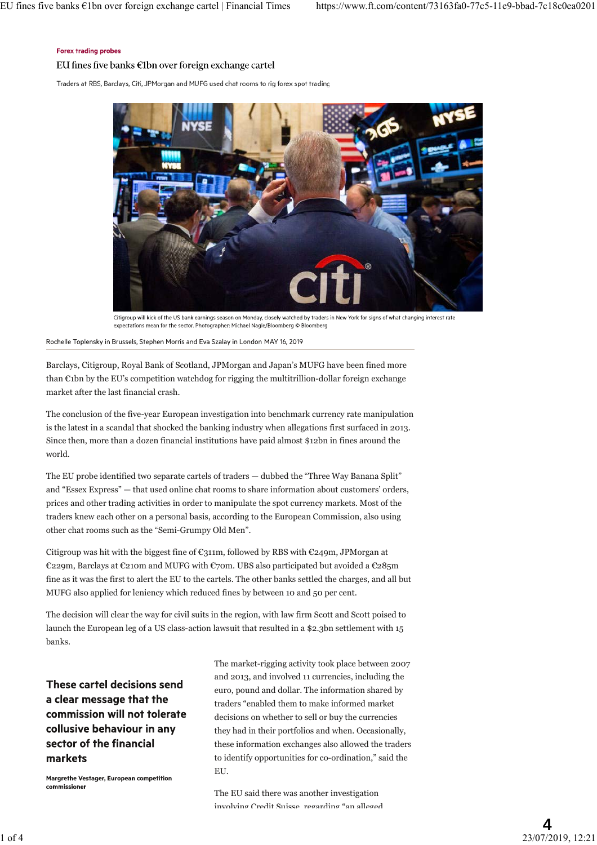#### **Forex trading probes**

#### EU fines five banks €1bn over foreign exchange cartel

Traders at RBS, Barclays, Citi, JPMorgan and MUFG used chat rooms to rig forex spot trading



Citigroup will kick of the US bank earnings season on Monday, closely watched by traders in New York for signs of what changing interest rate expectations mean for the sector. Photographer: Michael Nagle/Bloomberg © Bloomberg

Rochelle Toplensky in Brussels, Stephen Morris and Eya Szalay in London MAY 16, 2019

Barclays, Citigroup, Royal Bank of Scotland, JPMorgan and Japan's MUFG have been fined more than €1bn by the EU's competition watchdog for rigging the multitrillion-dollar foreign exchange market after the last financial crash.

The conclusion of the five-year European investigation into benchmark currency rate manipulation is the latest in a scandal that shocked the banking industry when allegations first surfaced in 2013. Since then, more than a dozen financial institutions have paid almost \$12bn in fines around the world.

The EU probe identified two separate cartels of traders — dubbed the "Three Way Banana Split" and "Essex Express" — that used online chat rooms to share information about customers' orders, prices and other trading activities in order to manipulate the spot currency markets. Most of the traders knew each other on a personal basis, according to the European Commission, also using other chat rooms such as the "Semi-Grumpy Old Men".

Citigroup was hit with the biggest fine of  $\epsilon_{311m}$ , followed by RBS with  $\epsilon_{249m}$ , JPMorgan at €229m, Barclays at €210m and MUFG with €70m. UBS also participated but avoided a €285m fine as it was the first to alert the EU to the cartels. The other banks settled the charges, and all but MUFG also applied for leniency which reduced fines by between 10 and 50 per cent.

The decision will clear the way for civil suits in the region, with law firm Scott and Scott poised to launch the European leg of a US class-action lawsuit that resulted in a \$2.3bn settlement with 15 banks.

## These cartel decisions send a clear message that the commission will not tolerate collusive behaviour in any sector of the financial markets

Margrethe Vestager, European competition commissioner

The market-rigging activity took place between 2007 and 2013, and involved 11 currencies, including the euro, pound and dollar. The information shared by traders "enabled them to make informed market decisions on whether to sell or buy the currencies they had in their portfolios and when. Occasionally, these information exchanges also allowed the traders to identify opportunities for co-ordination," said the EU.

The EU said there was another investigation involving Credit Suisse regarding "an alleged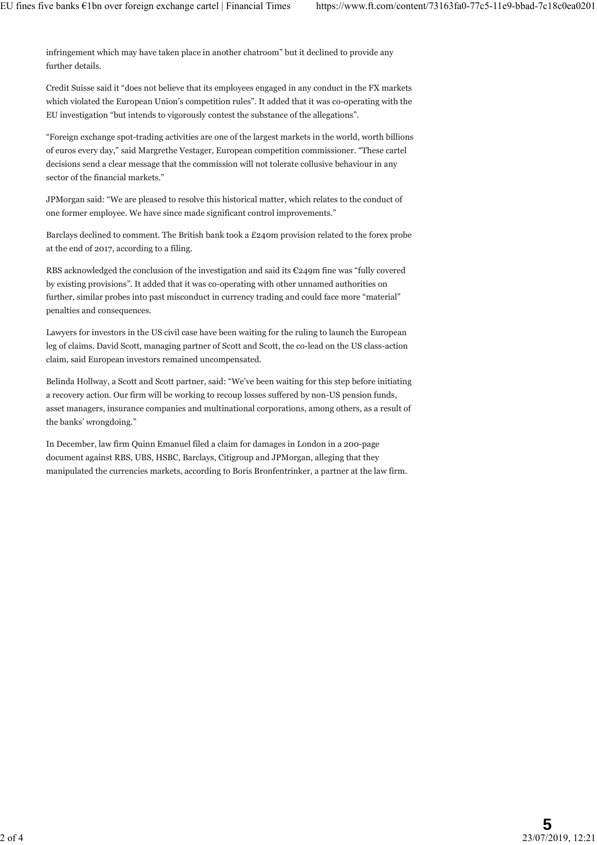infringement which may have taken place in another chatroom" but it declined to provide any further details.

Credit Suisse said it "does not believe that its employees engaged in any conduct in the FX markets which violated the European Union's competition rules". It added that it was co-operating with the EU investigation "but intends to vigorously contest the substance of the allegations".

"Foreign exchange spot-trading activities are one of the largest markets in the world, worth billions of euros every day," said Margrethe Vestager, European competition commissioner. "These cartel decisions send a clear message that the commission will not tolerate collusive behaviour in any sector of the financial markets."

JPMorgan said: "We are pleased to resolve this historical matter, which relates to the conduct of one former employee. We have since made significant control improvements."

Barclays declined to comment. The British bank took a £240m provision related to the forex probe at the end of 2017, according to a filing.

RBS acknowledged the conclusion of the investigation and said its €249m fine was "fully covered by existing provisions". It added that it was co-operating with other unnamed authorities on further, similar probes into past misconduct in currency trading and could face more "material" penalties and consequences.

Lawyers for investors in the US civil case have been waiting for the ruling to launch the European leg of claims. David Scott, managing partner of Scott and Scott, the co-lead on the US class-action claim, said European investors remained uncompensated.

Belinda Hollway, a Scott and Scott partner, said: "We've been waiting for this step before initiating a recovery action. Our firm will be working to recoup losses suffered by non-US pension funds, asset managers, insurance companies and multinational corporations, among others, as a result of the banks' wrongdoing."

In December, law firm Quinn Emanuel filed a claim for damages in London in a 200-page document against RBS, UBS, HSBC, Barclays, Citigroup and JPMorgan, alleging that they manipulated the currencies markets, according to Boris Bronfentrinker, a partner at the law firm.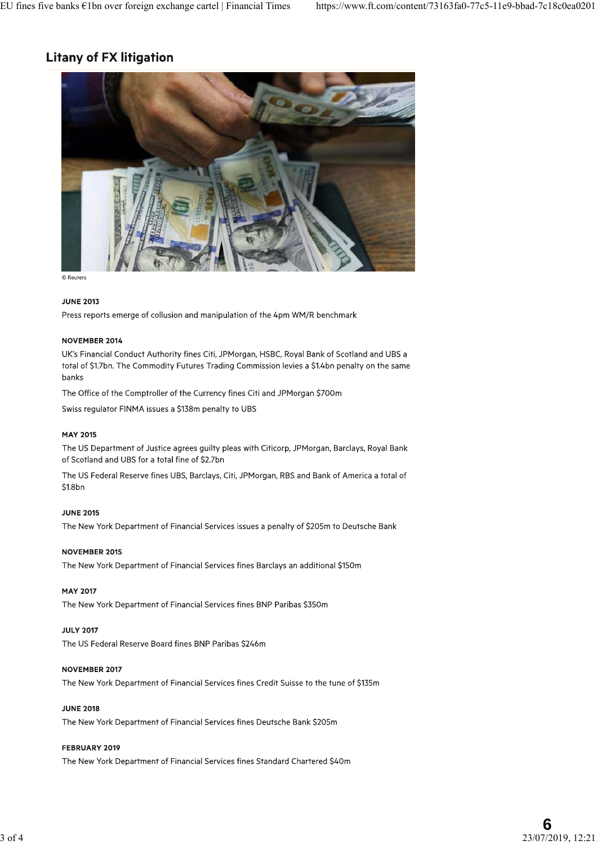## **Litany of FX litigation**



© Reuters

#### **JUNE 2013**

Press reports emerge of collusion and manipulation of the 4pm WM/R benchmark

#### **NOVEMBER 2014**

UK's Financial Conduct Authority fines Citi, JPMorgan, HSBC, Royal Bank of Scotland and UBS a total of \$1.7bn. The Commodity Futures Trading Commission levies a \$1.4bn penalty on the same banks

The Office of the Comptroller of the Currency fines Citi and JPMorgan \$700m

Swiss regulator FINMA issues a \$138m penalty to UBS

#### **MAY 2015**

The US Department of Justice agrees guilty pleas with Citicorp, JPMorgan, Barclays, Royal Bank of Scotland and UBS for a total fine of \$2.7bn

The US Federal Reserve fines UBS, Barclays, Citi, JPMorgan, RBS and Bank of America a total of \$1.8bn

#### **JUNE 2015**

The New York Department of Financial Services issues a penalty of \$205m to Deutsche Bank

#### **NOVEMBER 2015**

The New York Department of Financial Services fines Barclays an additional \$150m

#### **MAY 2017**

The New York Department of Financial Services fines BNP Paribas \$350m

#### **JULY 2017**

The US Federal Reserve Board fines BNP Paribas \$246m

#### **NOVEMBER 2017**

The New York Department of Financial Services fines Credit Suisse to the tune of \$135m

#### **JUNE 2018**

The New York Department of Financial Services fines Deutsche Bank \$205m

#### FEBRUARY 2019

The New York Department of Financial Services fines Standard Chartered \$40m